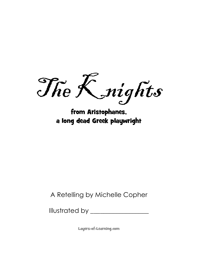The K\_nights

from Aristophanes, a long dead Greek playwright

A Retelling by Michelle Copher

Illustrated by \_\_\_\_\_\_\_\_\_\_\_\_\_\_\_\_\_\_

Layers-of-Learning.com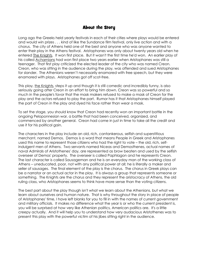## About the Story

Long ago the Greeks held yearly festivals in each of their cities where plays would be entered and would win prizes . . . kind of like the Sundance film festival, only live action and with a chorus. The city of Athens held one of the best and anyone who was anyone wanted to enter their play in the Athens festival. Aristophanes was only about twenty years old when he entered The Knights. It won first place. But it wasn't the first time he'd won. An earlier play of his called Acharnians had won first place two years earlier when Aristophanes was still a teenager. That first play criticized the elected leader of the city who was named Creon. Creon, who was sitting in the audience during the play, was offended and sued Aristophanes for slander. The Athenians weren't necessarily enamored with free speech, but they were enamored with plays. Aristophanes got off scot-free.

This play, the Knights, steps it up and though it is still comedic and incredibly funny, is also seriously going after Creon in an effort to bring him down. Creon was so powerful and so much in the people's favor that the mask makers refused to make a mask of Creon for the play and the actors refused to play the part. Rumor has it that Aristophanes himself played the part of Creon in the play and dyed his face rather than wear a mask.

To set the stage, you should know that Creon had recently won an important battle in the ongoing Peloponnesian war, a battle that had been conceived, organized, and commenced by another general. Creon had come in just in time to take all the credit and use it for his political gain.

The characters in the play include an old, rich, cantankerous, selfish and superstitious merchant, named Demos. Demos is a word that means People in Greek and Aristophanes used this name to represent those citizens who had the right to vote – the old, rich, selfindulgent men of Athens. Two servants named Niceas and Demosthenes, actual names of naval Admirals of Aristothenes' day, are represented as brow beaten and used by the selfish overseer of Demos' property. The overseer is called Paphlagon and he represents Creon. The last character is called Sausageman and he is an everyday man of the working class of Athens – uneducated, poor, not with any political power at all; he is literally a maker and seller of sausages. The final element of the play is the chorus. The chorus in Greek plays can be a narrator or an actual actor in the play. It is always a group that represents someone or something. The Knights are the chorus and they represent the aristocracy of Athens, the old ruling class, who Aristophanes seems to think have more sense than the voting citizens.

The best part about the play though isn't what we learn about the Athenians, but what we learn about ourselves and human nature. That is why throughout the story in place of people of Aristophanes' time, I have left blanks for you to fill in with the names of current government and military officials. It makes no difference what the year is or who the current president is, you will be surprised at how very like Athenian politics, American politics are. It's a little creepy actually. And it will help you to understand how very audacious Aristothenes was to present this play with the powerful victim of his jibes sitting right in the audience.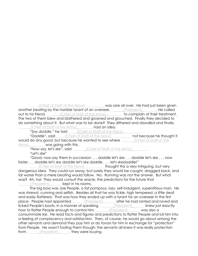(Chief of Staff of the Navy) was sore all over. He had just been given another beating by the horrible tyrant of an overseer, \_\_\_\_\_\_(President)\_\_\_\_\_\_\_\_. He called out to his friend, *\_\_\_\_\_\_\_(Chief of Staff of the Army)* \_\_\_\_\_\_, to complain of their treatment. The two of them blew and blathered and groaned and grouched. Finally they decided to do something about it. But what was to be done? They dithered and dawdled and finally (Chief of Staff of the Army) had an idea.

"Say *daddle*," he told **Subset Chief of Staff of the Navy)** 

"Daddle", said (Chief of Staff of the Navy) and because he thought it would do any good, but because he wanted to see where **with an end of Staff of the** Army) was going with this.

"Now say, *let's ske"*, said  $\qquad$  (Chief of Staff of the Army) "Let's ske"

"Good, now say them in succession . . . daddle let's ske . . . daddle let's ske . . . now faster . . . daddle let's ske daddle let's ske daddle . . . let's skedaddle!"

(Chief of Staff of the Navy) **thought this a very intriguing, but very** dangerous idea. They could run away, but surely they would be caught, dragged back, and far worse than a mere beating would follow. No. Running was not the answer. But what was? Ah, ha! They would consult the oracle, the predictions for the future that (President) let **kept in his rooms.** 

The big boss was Joe People, a fat pompous, lazy, self-indulgent, superstitious man. He was shrewd, cunning and selfish. Besides all that he was fickle, high tempered, a little deaf, and easily flattered. That was how they ended up with a tyrant for an overseer in the first place. People had appointed <u>entity resident</u> entired and ranted and raved and raved and raved and research and ra licked People's boots, in a manner of speaking. <u>[President]</u> knew just exactly how to flatter People enough to control him. \_\_\_\_\_\_(President)\_\_\_\_\_\_ was also a consummate liar. He read facts and figures and predictions to flatter People and lull him into a feeling of complacency and satisfaction. Then, of course, he would go about among the other servants and demand they pay him or do favors for him in exchange for "protection" from People. He wasn't fooling them though; the servants all knew it was really protection from *[President]* they were buying.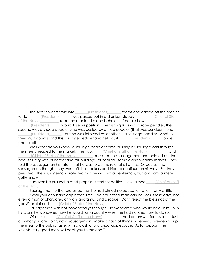The two servants stole into **Example 20** (President's) rooms and carried off the oracles while (President) was passed out in a drunken stupor. (Chief of Staff of the Navy) **read the oracle. Lo and behold! It foretold how** 

(President) would lose his position. The first Big Boss was a rope peddler, the second was a sheep peddler who was ousted by a hide peddler (that was our dear friend (President) (President) (*I*, but he was followed by another – a sausage peddler. Aha! All they must do was find this sausage peddler and help oust <u>entity resident</u> ence and for all!

Well what do you know, a sausage peddler came pushing his sausage cart through the streets headed to the market! The two, and Chief of Staff of the Navy) and (Chief of Staff of the Army) **accosted the sausageman and pointed out the** beautiful city with its harbor and tall buildings, its beautiful temple and wealthy market. They told the sausageman his fate – that he was to be the ruler of all of this. Of course, the sausageman thought they were off their rockers and tried to continue on his way. But they persisted. The sausageman protested that he was not a gentleman, but low born, a mere guttersnipe.

"Heaven be praised, a most propitious start for politics!," exclaimed \_\_\_\_\_\_(Chief of Staff of the Navy)

Sausageman further protested that he had almost no education at all – only a little.

"Well your only handicap is that 'little'. No educated man can be Boss, these days, nor even a man of character, only an ignoramus and a rogue! Don't reject the blessings of the gods!" exclaimed \_\_\_\_\_\_(Chief of Staff of the Navy)

Sausageman was not convinced yet though. He wondered who would back him up in his claim he wondered how he would run a country when he had no idea how to do so.

Of course <u>Chief of Staff of the Navy</u> had an answer for this too, "Just do what you are doing now, Sausageman. Make a hash of things in general, sweetening up the mess to the public taste, with a clash of oratorical applesauce. As for support, the Knights, truly good men, will back you to the end."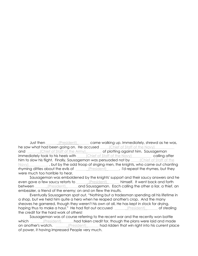Just then *\_\_\_\_\_\_\_(President)* came walking up. Immediately, shrewd as he was, he saw what had been going on. He accused (Chief of Staff of the Navy) and and all chief of Staff of the Army) and of plotting against him. Sausageman immediately took to his heels with a chief of Staff of the Navy) calling after him to slow his flight. Finally, Sausageman was persuaded not by [Chief of Staff of the Navy)\_\_\_\_\_\_\_\_\_\_\_\_, but by the odd troop of singing men, the knights, who came out chanting rhyming ditties about the evils of <u>equal entity president</u> [1] [1] I'd repeat the rhymes, but they were much too horrible to hear.

Sausageman was emboldened by the knights' support and their saucy answers and he even gave a few saucy retorts to \_\_\_\_\_\_(President)\_\_\_\_\_\_ himself. It went back and forth between \_\_\_\_\_\_(President)\_\_\_\_\_\_and Sausageman. Each calling the other a liar, a thief, an embezzler, a friend of the enemy; on and on flew the insults.

Eventually Sausageman spat out, "Nothing but a tradesman spending all his lifetime in a shop, but we held him quite a hero when he reaped another's crop. And the many sheaves he garnered, though they weren't his own at all, He has kept in stock for drying, hoping thus to make a haul." He had flat out accused [President] of stealing the credit for the hard work of others!

Sausageman was of course referring to the recent war and the recently won battle which \_\_\_\_\_\_\_(President) \_\_\_\_\_\_had taken credit for, though the plans were laid and made on another's watch. \_\_\_\_\_\_\_(President) \_\_\_\_\_\_ had ridden that win right into his current place of power, it having impressed People very much.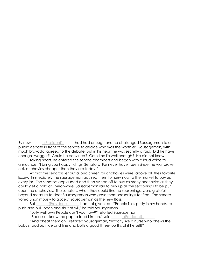By now (President) Langled had enough and he challenged Sausageman to a public debate in front of the senate to decide who was the worthier. Sausageman, with much bravado, agreed to the debate, but in his heart he was secretly afraid. Did he have enough swagger? Could he convince? Could he lie well enough? He did not know.

Taking heart, he entered the senate chambers and began with a loud voice to announce, "I bring you happy tidings, Senators. For never have I seen since the war broke out, anchovies cheaper than they are today!"

At that the senators let out a loud cheer, for anchovies were, above all, their favorite luxury. Immediately the sausageman advised them to hurry now to the market to buy up every jar. The senators applauded and then rushed off to buy as many anchovies as they could get a hold of. Meanwhile, Sausageman ran to buy up all the seasonings to be put upon the anchovies. The senators, when they could find no seasonings, were grateful beyond measure to dear Sauasageman who gave them seasonings for free. The senate voted unanimously to accept Sausageman as the new Boss.

But \_\_\_\_\_\_(President)\_\_\_\_\_\_\_ had not given up. "People is as putty in my hands, to push and pull, open and shut at will,' he told Sausageman.

"Jolly well own People don't you now?" retorted Sausageman.

"Because I know the pap to feed him on," said \_\_\_\_\_\_\_(President)

"And cheat them on," retorted Sausageman, "exactly like a nurse who chews the baby's food up nice and fine and bolts a good three-fourths of it herself!"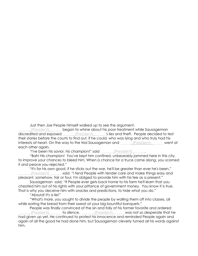Just then Joe People himself walked up to see the argument.

(President) Longon to whine about his poor treatment while Sausageman discredited and exposed (President) The 's lies and theft. People decided to test their stories before the courts to find out, if he could, who was lying and who truly had his interests at heart. On the way to the trial Sausageman and (President) went at each other again.

"I've been his savior, his champion!" said entitledent)

"Bah! His champion! You've kept him confined, unbearably jammed here in this city, to improve your chances to bleed him. When a chance for a truce came along, you scorned it and peace you rejected."

"It's for his own good, if he sticks out the war, he'll be greater than ever he's been," \_\_\_\_\_\_\_(President)\_\_\_\_\_\_\_ said, "I tend People with tender care and make things easy and pleasant, somehow, fair or foul, I'm obliged to provide him with his fee as a present."

Sausageman said, "If People ever gets back home to his farm he'll learn that you cheated him out of his rights with your pittance of government money. You know it is true. That is why you deceive him with oracles and predictions, to hide what you do."

"Absurd! It's a lie!"

"What's more, you sought to divide the people by walling them off into classes, all while eating the bread from their sweat at your big bountiful banquets."

People was finally convinced of the sin and folly of his former favorite and ordered \_\_\_\_\_\_\_(President)\_\_\_\_\_\_\_ to silence. \_\_\_\_\_\_\_(President)\_\_\_\_\_\_\_was not so desperate that he had given up yet. He continued to protest his innocence and reminded People again and again of all the good he had done him, but Sausageman cleverly turned all his words against him.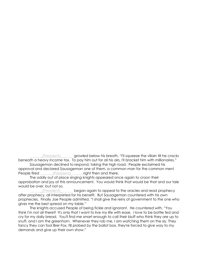(President) growled below his breath, "I'll squeeze the villain till he cracks beneath a heavy income tax. To pay him out for all his airs, I'll bracket him with millionaires." Sausageman declined to respond, taking the high road. People exclaimed his approval and declared Sausageman one of them, a common man for the common men! People fired \_\_\_\_\_\_\_(President)\_\_\_\_\_\_\_right then and there.

The oddly out of place singing knights appeared once again to croon their approbation and joy at this announcement. You would think that would be that and our tale would be over, but not so.

\_\_\_\_\_\_\_(President)\_\_\_\_\_\_\_ began again to appeal to the oracles and read prophecy after prophecy, all interpreted for his benefit. But Sausageman countered with his own prophecies. Finally Joe People admitted, "I shall give the reins of government to the one who gives me the best spread on my table."

The knights accused People of being fickle and ignorant. He countered with, "You think I'm not all there? It's only that I want to live my life with ease. I love to be bottle fed and cry for my daily bread. You'll find me smart enough to call their bluff who think they are up to snuff, and I am the greenhorn. Whenever they rob me, I am watching them on the sly. They fancy they can fool Brer Fox, till probed by the ballot box, they're forced to give way to my demands and give up their own show."